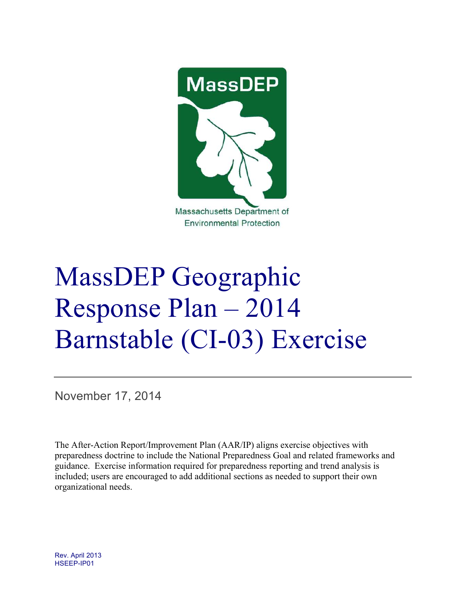

**Environmental Protection** 

# MassDEP Geographic Response Plan – 2014 Barnstable (CI-03) Exercise**-**

November 17, 2014

The After-Action Report/Improvement Plan (AAR/IP) aligns exercise objectives with preparedness doctrine to include the National Preparedness Goal and related frameworks and guidance. Exercise information required for preparedness reporting and trend analysis is included; users are encouraged to add additional sections as needed to support their own organizational needs.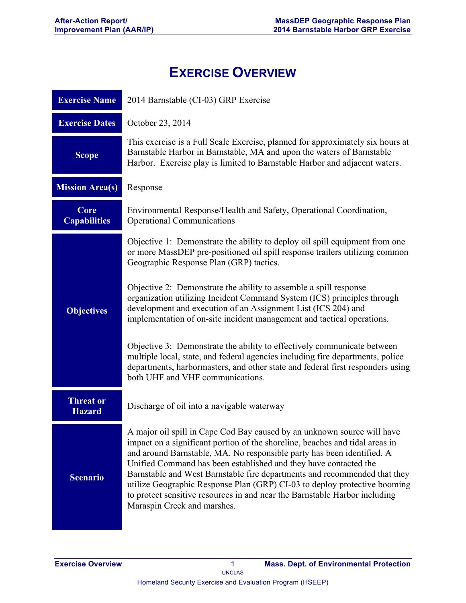# **EXERCISE OVERVIEW**

| <b>Exercise Name</b>              | 2014 Barnstable (CI-03) GRP Exercise                                                                                                                                                                                                                                                                                                                                                                                                                                                                                                                                         |  |  |  |
|-----------------------------------|------------------------------------------------------------------------------------------------------------------------------------------------------------------------------------------------------------------------------------------------------------------------------------------------------------------------------------------------------------------------------------------------------------------------------------------------------------------------------------------------------------------------------------------------------------------------------|--|--|--|
| <b>Exercise Dates</b>             | October 23, 2014                                                                                                                                                                                                                                                                                                                                                                                                                                                                                                                                                             |  |  |  |
| <b>Scope</b>                      | This exercise is a Full Scale Exercise, planned for approximately six hours at<br>Barnstable Harbor in Barnstable, MA and upon the waters of Barnstable<br>Harbor. Exercise play is limited to Barnstable Harbor and adjacent waters.                                                                                                                                                                                                                                                                                                                                        |  |  |  |
| <b>Mission Area(s)</b>            | Response                                                                                                                                                                                                                                                                                                                                                                                                                                                                                                                                                                     |  |  |  |
| Core<br><b>Capabilities</b>       | Environmental Response/Health and Safety, Operational Coordination,<br><b>Operational Communications</b>                                                                                                                                                                                                                                                                                                                                                                                                                                                                     |  |  |  |
|                                   | Objective 1: Demonstrate the ability to deploy oil spill equipment from one<br>or more MassDEP pre-positioned oil spill response trailers utilizing common<br>Geographic Response Plan (GRP) tactics.                                                                                                                                                                                                                                                                                                                                                                        |  |  |  |
| <b>Objectives</b>                 | Objective 2: Demonstrate the ability to assemble a spill response<br>organization utilizing Incident Command System (ICS) principles through<br>development and execution of an Assignment List (ICS 204) and<br>implementation of on-site incident management and tactical operations.                                                                                                                                                                                                                                                                                      |  |  |  |
|                                   | Objective 3: Demonstrate the ability to effectively communicate between<br>multiple local, state, and federal agencies including fire departments, police<br>departments, harbormasters, and other state and federal first responders using<br>both UHF and VHF communications.                                                                                                                                                                                                                                                                                              |  |  |  |
| <b>Threat or</b><br><b>Hazard</b> | Discharge of oil into a navigable waterway                                                                                                                                                                                                                                                                                                                                                                                                                                                                                                                                   |  |  |  |
| <b>Scenario</b>                   | A major oil spill in Cape Cod Bay caused by an unknown source will have<br>impact on a significant portion of the shoreline, beaches and tidal areas in<br>and around Barnstable, MA. No responsible party has been identified. A<br>Unified Command has been established and they have contacted the<br>Barnstable and West Barnstable fire departments and recommended that they<br>utilize Geographic Response Plan (GRP) CI-03 to deploy protective booming<br>to protect sensitive resources in and near the Barnstable Harbor including<br>Maraspin Creek and marshes. |  |  |  |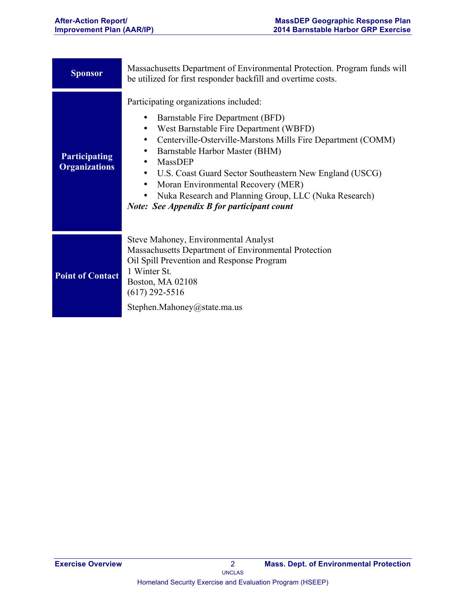| <b>Sponsor</b>                               | Massachusetts Department of Environmental Protection. Program funds will<br>be utilized for first responder backfill and overtime costs.                                                                                                                                                                                                                                                                                                                                  |
|----------------------------------------------|---------------------------------------------------------------------------------------------------------------------------------------------------------------------------------------------------------------------------------------------------------------------------------------------------------------------------------------------------------------------------------------------------------------------------------------------------------------------------|
| <b>Participating</b><br><b>Organizations</b> | Participating organizations included:<br>Barnstable Fire Department (BFD)<br>West Barnstable Fire Department (WBFD)<br>Centerville-Osterville-Marstons Mills Fire Department (COMM)<br>$\bullet$<br>Barnstable Harbor Master (BHM)<br>MassDEP<br>U.S. Coast Guard Sector Southeastern New England (USCG)<br>$\bullet$<br>Moran Environmental Recovery (MER)<br>Nuka Research and Planning Group, LLC (Nuka Research)<br><b>Note: See Appendix B for participant count</b> |
| <b>Point of Contact</b>                      | Steve Mahoney, Environmental Analyst<br>Massachusetts Department of Environmental Protection<br>Oil Spill Prevention and Response Program<br>1 Winter St.<br><b>Boston, MA 02108</b><br>$(617)$ 292-5516<br>Stephen.Mahoney@state.ma.us                                                                                                                                                                                                                                   |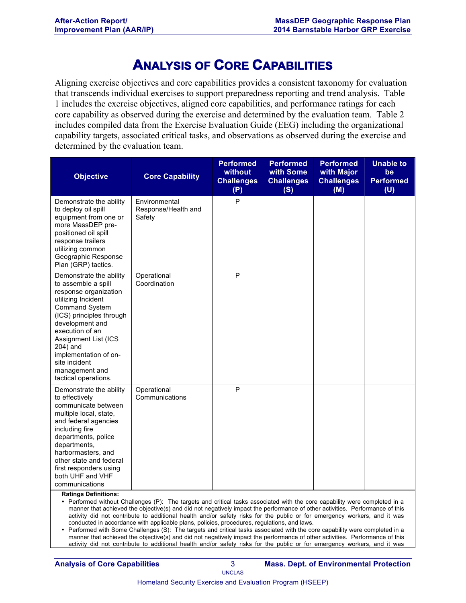# **ANALYSIS OF CORE CAPABILITIES**

Aligning exercise objectives and core capabilities provides a consistent taxonomy for evaluation that transcends individual exercises to support preparedness reporting and trend analysis. Table 1 includes the exercise objectives, aligned core capabilities, and performance ratings for each core capability as observed during the exercise and determined by the evaluation team. Table 2 includes compiled data from the Exercise Evaluation Guide (EEG) including the organizational capability targets, associated critical tasks, and observations as observed during the exercise and determined by the evaluation team.

| <b>Objective</b>                                                                                                                                                                                                                                                                                                 | <b>Core Capability</b>                         | <b>Performed</b><br>without<br><b>Challenges</b><br>(P) | <b>Performed</b><br>with Some<br><b>Challenges</b><br>(S) | <b>Performed</b><br>with Major<br><b>Challenges</b><br>(M) | <b>Unable to</b><br>be<br><b>Performed</b><br>(U) |
|------------------------------------------------------------------------------------------------------------------------------------------------------------------------------------------------------------------------------------------------------------------------------------------------------------------|------------------------------------------------|---------------------------------------------------------|-----------------------------------------------------------|------------------------------------------------------------|---------------------------------------------------|
| Demonstrate the ability<br>to deploy oil spill<br>equipment from one or<br>more MassDEP pre-<br>positioned oil spill<br>response trailers<br>utilizing common<br>Geographic Response<br>Plan (GRP) tactics.                                                                                                      | Environmental<br>Response/Health and<br>Safety | P                                                       |                                                           |                                                            |                                                   |
| Demonstrate the ability<br>to assemble a spill<br>response organization<br>utilizing Incident<br><b>Command System</b><br>(ICS) principles through<br>development and<br>execution of an<br>Assignment List (ICS<br>204) and<br>implementation of on-<br>site incident<br>management and<br>tactical operations. | Operational<br>Coordination                    | P                                                       |                                                           |                                                            |                                                   |
| Demonstrate the ability<br>to effectively<br>communicate between<br>multiple local, state,<br>and federal agencies<br>including fire<br>departments, police<br>departments,<br>harbormasters, and<br>other state and federal<br>first responders using<br>both UHF and VHF<br>communications                     | Operational<br>Communications                  | P                                                       |                                                           |                                                            |                                                   |

**Ratings Definitions:**

• Performed without Challenges (P): The targets and critical tasks associated with the core capability were completed in a manner that achieved the objective(s) and did not negatively impact the performance of other activities. Performance of this activity did not contribute to additional health and/or safety risks for the public or for emergency workers, and it was conducted in accordance with applicable plans, policies, procedures, regulations, and laws.

• Performed with Some Challenges (S): The targets and critical tasks associated with the core capability were completed in a manner that achieved the objective(s) and did not negatively impact the performance of other activities. Performance of this activity did not contribute to additional health and/or safety risks for the public or for emergency workers, and it was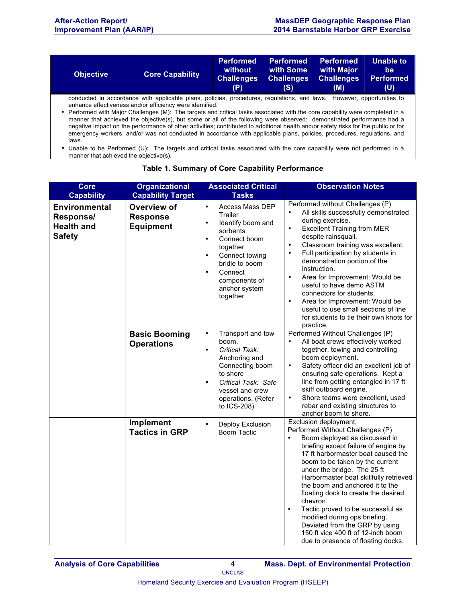| <b>Objective</b>                                                                                                                                                                                                                                                                                                                                                                                                                                                                                                        | <b>Core Capability</b> | <b>Performed</b><br>without<br><b>Challenges</b><br>(P) | <b>Performed</b><br>with Some<br><b>Challenges</b><br>(S) | <b>Performed</b><br>with Major<br><b>Challenges</b><br>(M) | <b>Unable to</b><br>be<br><b>Performed</b><br>(U) |  |
|-------------------------------------------------------------------------------------------------------------------------------------------------------------------------------------------------------------------------------------------------------------------------------------------------------------------------------------------------------------------------------------------------------------------------------------------------------------------------------------------------------------------------|------------------------|---------------------------------------------------------|-----------------------------------------------------------|------------------------------------------------------------|---------------------------------------------------|--|
| conducted in accordance with applicable plans, policies, procedures, regulations, and laws. However, opportunities to<br>enhance effectiveness and/or efficiency were identified.                                                                                                                                                                                                                                                                                                                                       |                        |                                                         |                                                           |                                                            |                                                   |  |
| • Performed with Major Challenges (M): The targets and critical tasks associated with the core capability were completed in a<br>manner that achieved the objective(s), but some or all of the following were observed: demonstrated performance had a<br>negative impact on the performance of other activities; contributed to additional health and/or safety risks for the public or for<br>emergency workers; and/or was not conducted in accordance with applicable plans, policies, procedures, regulations, and |                        |                                                         |                                                           |                                                            |                                                   |  |

laws. • Unable to be Performed (U): The targets and critical tasks associated with the core capability were not performed in a manner that achieved the objective(s).

| <b>Core</b><br><b>Capability</b>                                        | <b>Organizational</b><br><b>Capability Target</b>  | <b>Associated Critical</b><br><b>Tasks</b>                                                                                                                                                                                                            | <b>Observation Notes</b>                                                                                                                                                                                                                                                                                                                                                                                                                                                                                                                                                         |
|-------------------------------------------------------------------------|----------------------------------------------------|-------------------------------------------------------------------------------------------------------------------------------------------------------------------------------------------------------------------------------------------------------|----------------------------------------------------------------------------------------------------------------------------------------------------------------------------------------------------------------------------------------------------------------------------------------------------------------------------------------------------------------------------------------------------------------------------------------------------------------------------------------------------------------------------------------------------------------------------------|
| <b>Environmental</b><br>Response/<br><b>Health and</b><br><b>Safety</b> | Overview of<br><b>Response</b><br><b>Equipment</b> | $\bullet$<br>Access Mass DEP<br>Trailer<br>Identify boom and<br>$\bullet$<br>sorbents<br>Connect boom<br>$\bullet$<br>together<br>Connect towing<br>$\bullet$<br>bridle to boom<br>Connect<br>$\bullet$<br>components of<br>anchor system<br>together | Performed without Challenges (P)<br>All skills successfully demonstrated<br>during exercise.<br><b>Excellent Training from MER</b><br>$\bullet$<br>despite rainsquall.<br>$\bullet$<br>Classroom training was excellent.<br>Full participation by students in<br>$\bullet$<br>demonstration portion of the<br>instruction.<br>Area for Improvement: Would be<br>$\bullet$<br>useful to have demo ASTM<br>connectors for students.<br>Area for Improvement: Would be<br>$\bullet$<br>useful to use small sections of line<br>for students to tie their own knots for<br>practice. |
|                                                                         | <b>Basic Booming</b><br><b>Operations</b>          | $\bullet$<br>Transport and tow<br>boom.<br>Critical Task:<br>$\bullet$<br>Anchoring and<br>Connecting boom<br>to shore<br>Critical Task: Safe<br>$\bullet$<br>vessel and crew<br>operations. (Refer<br>to ICS-208)                                    | Performed Without Challenges (P)<br>All boat crews effectively worked<br>$\bullet$<br>together, towing and controlling<br>boom deployment.<br>Safety officer did an excellent job of<br>$\bullet$<br>ensuring safe operations. Kept a<br>line from getting entangled in 17 ft<br>skiff outboard engine.<br>Shore teams were excellent, used<br>$\bullet$<br>rebar and existing structures to<br>anchor boom to shore.                                                                                                                                                            |
|                                                                         | Implement<br><b>Tactics in GRP</b>                 | Deploy Exclusion<br>$\bullet$<br><b>Boom Tactic</b>                                                                                                                                                                                                   | Exclusion deployment,<br>Performed Without Challenges (P)<br>Boom deployed as discussed in<br>briefing except failure of engine by<br>17 ft harbormaster boat caused the<br>boom to be taken by the current<br>under the bridge. The 25 ft<br>Harbormaster boat skillfully retrieved<br>the boom and anchored it to the<br>floating dock to create the desired<br>chevron.<br>$\bullet$<br>Tactic proved to be successful as<br>modified during ops briefing.<br>Deviated from the GRP by using<br>150 ft vice 400 ft of 12-inch boom<br>due to presence of floating docks.      |

#### **Table 1. Summary of Core Capability Performance**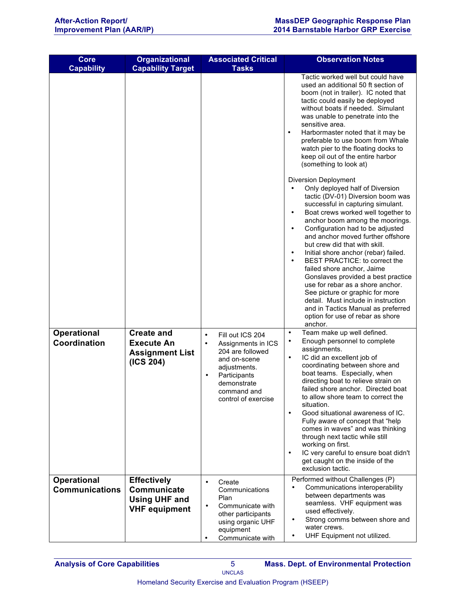| <b>Core</b>                                 | <b>Organizational</b>                                                             | <b>Associated Critical</b>                                                                                                                                                                             | <b>Observation Notes</b>                                                                                                                                                                                                                                                                                                                                                                                                                                                                                                                                                                                                                                                                                           |
|---------------------------------------------|-----------------------------------------------------------------------------------|--------------------------------------------------------------------------------------------------------------------------------------------------------------------------------------------------------|--------------------------------------------------------------------------------------------------------------------------------------------------------------------------------------------------------------------------------------------------------------------------------------------------------------------------------------------------------------------------------------------------------------------------------------------------------------------------------------------------------------------------------------------------------------------------------------------------------------------------------------------------------------------------------------------------------------------|
| <b>Capability</b>                           | <b>Capability Target</b>                                                          | <b>Tasks</b>                                                                                                                                                                                           |                                                                                                                                                                                                                                                                                                                                                                                                                                                                                                                                                                                                                                                                                                                    |
|                                             |                                                                                   |                                                                                                                                                                                                        | Tactic worked well but could have<br>used an additional 50 ft section of<br>boom (not in trailer). IC noted that<br>tactic could easily be deployed<br>without boats if needed. Simulant<br>was unable to penetrate into the<br>sensitive area.<br>Harbormaster noted that it may be<br>$\bullet$<br>preferable to use boom from Whale<br>watch pier to the floating docks to<br>keep oil out of the entire harbor<br>(something to look at)                                                                                                                                                                                                                                                                       |
|                                             |                                                                                   |                                                                                                                                                                                                        | <b>Diversion Deployment</b><br>Only deployed half of Diversion<br>tactic (DV-01) Diversion boom was<br>successful in capturing simulant.<br>Boat crews worked well together to<br>$\bullet$<br>anchor boom among the moorings.<br>Configuration had to be adjusted<br>$\bullet$<br>and anchor moved further offshore<br>but crew did that with skill.<br>Initial shore anchor (rebar) failed.<br>$\bullet$<br>BEST PRACTICE: to correct the<br>failed shore anchor, Jaime<br>Gonslaves provided a best practice<br>use for rebar as a shore anchor.<br>See picture or graphic for more<br>detail. Must include in instruction<br>and in Tactics Manual as preferred<br>option for use of rebar as shore<br>anchor. |
| <b>Operational</b><br>Coordination          | <b>Create and</b><br><b>Execute An</b><br><b>Assignment List</b><br>(ICS 204)     | Fill out ICS 204<br>$\bullet$<br>Assignments in ICS<br>$\bullet$<br>204 are followed<br>and on-scene<br>adjustments.<br>Participants<br>$\bullet$<br>demonstrate<br>command and<br>control of exercise | Team make up well defined.<br>$\bullet$<br>Enough personnel to complete<br>٠<br>assignments.<br>IC did an excellent job of<br>٠<br>coordinating between shore and<br>boat teams. Especially, when<br>directing boat to relieve strain on<br>failed shore anchor. Directed boat<br>to allow shore team to correct the<br>situation.<br>Good situational awareness of IC.<br>$\bullet$<br>Fully aware of concept that "help<br>comes in waves" and was thinking<br>through next tactic while still<br>working on first.<br>IC very careful to ensure boat didn't<br>٠<br>get caught on the inside of the<br>exclusion tactic.                                                                                        |
| <b>Operational</b><br><b>Communications</b> | <b>Effectively</b><br>Communicate<br><b>Using UHF and</b><br><b>VHF equipment</b> | Create<br>$\bullet$<br>Communications<br>Plan<br>Communicate with<br>$\bullet$<br>other participants<br>using organic UHF                                                                              | Performed without Challenges (P)<br>Communications interoperability<br>between departments was<br>seamless. VHF equipment was<br>used effectively.<br>Strong comms between shore and                                                                                                                                                                                                                                                                                                                                                                                                                                                                                                                               |
|                                             |                                                                                   | equipment<br>Communicate with                                                                                                                                                                          | water crews.<br>UHF Equipment not utilized.                                                                                                                                                                                                                                                                                                                                                                                                                                                                                                                                                                                                                                                                        |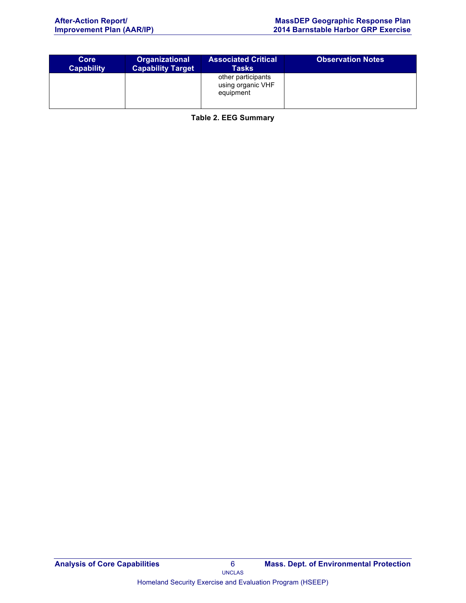| Core              | <b>Organizational</b>    | <b>Associated Critical</b>                           | <b>Observation Notes</b> |
|-------------------|--------------------------|------------------------------------------------------|--------------------------|
| <b>Capability</b> | <b>Capability Target</b> | Tasks                                                |                          |
|                   |                          | other participants<br>using organic VHF<br>equipment |                          |

**Table 2. EEG Summary**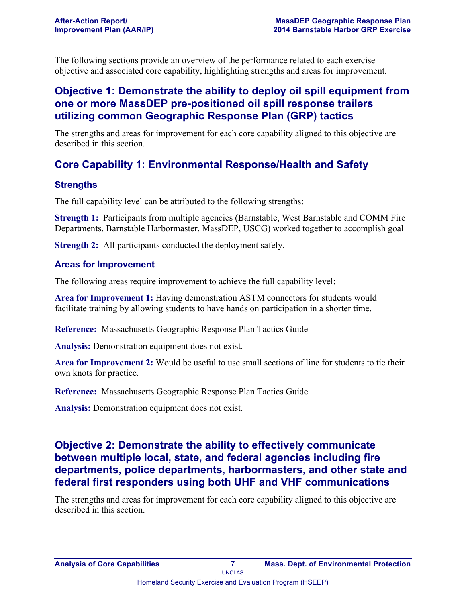The following sections provide an overview of the performance related to each exercise objective and associated core capability, highlighting strengths and areas for improvement.

## **Objective 1: Demonstrate the ability to deploy oil spill equipment from one or more MassDEP pre-positioned oil spill response trailers utilizing common Geographic Response Plan (GRP) tactics**

The strengths and areas for improvement for each core capability aligned to this objective are described in this section.

## **Core Capability 1: Environmental Response/Health and Safety**

### **Strengths**

The full capability level can be attributed to the following strengths:

**Strength 1:** Participants from multiple agencies (Barnstable, West Barnstable and COMM Fire Departments, Barnstable Harbormaster, MassDEP, USCG) worked together to accomplish goal

**Strength 2:** All participants conducted the deployment safely.

#### **Areas for Improvement**

The following areas require improvement to achieve the full capability level:

**Area for Improvement 1:** Having demonstration ASTM connectors for students would facilitate training by allowing students to have hands on participation in a shorter time.

**Reference:** Massachusetts Geographic Response Plan Tactics Guide

**Analysis:** Demonstration equipment does not exist.

**Area for Improvement 2:** Would be useful to use small sections of line for students to tie their own knots for practice.

**Reference:** Massachusetts Geographic Response Plan Tactics Guide

**Analysis:** Demonstration equipment does not exist.

## **Objective 2: Demonstrate the ability to effectively communicate between multiple local, state, and federal agencies including fire departments, police departments, harbormasters, and other state and federal first responders using both UHF and VHF communications**

The strengths and areas for improvement for each core capability aligned to this objective are described in this section.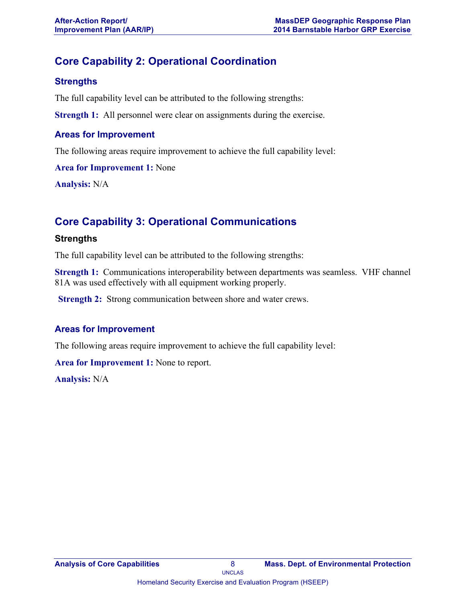## **Core Capability 2: Operational Coordination**

## **Strengths**

The full capability level can be attributed to the following strengths:

**Strength 1:** All personnel were clear on assignments during the exercise.

#### **Areas for Improvement**

The following areas require improvement to achieve the full capability level:

**Area for Improvement 1:** None

**Analysis:** N/A

## **Core Capability 3: Operational Communications**

### **Strengths**

The full capability level can be attributed to the following strengths:

**Strength 1:** Communications interoperability between departments was seamless. VHF channel 81A was used effectively with all equipment working properly.

**Strength 2:** Strong communication between shore and water crews.

### **Areas for Improvement**

The following areas require improvement to achieve the full capability level:

**Area for Improvement 1:** None to report.

**Analysis:** N/A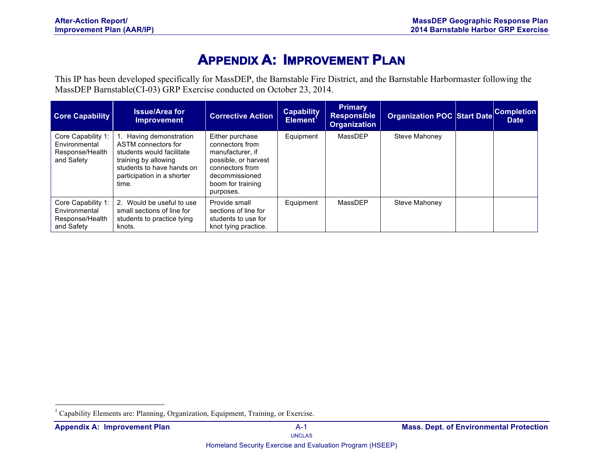## **APPENDIX A: IMPROVEMENT PLAN**

This IP has been developed specifically for MassDEP, the Barnstable Fire District, and the Barnstable Harbormaster following the MassDEP Barnstable(CI-03) GRP Exercise conducted on October 23, 2014.

| <b>Core Capability</b>                                               | <b>Issue/Area for</b><br><b>Improvement</b>                                                                                                                             | <b>Corrective Action</b>                                                                                                                              | <b>Capability</b><br>Element <sup>'</sup> | <b>Primary</b><br><b>Responsible</b><br><b>Organization</b> | <b>Organization POC Start Date</b> | <b>Completion</b><br><b>Date</b> |
|----------------------------------------------------------------------|-------------------------------------------------------------------------------------------------------------------------------------------------------------------------|-------------------------------------------------------------------------------------------------------------------------------------------------------|-------------------------------------------|-------------------------------------------------------------|------------------------------------|----------------------------------|
| Core Capability 1:<br>Environmental<br>Response/Health<br>and Safety | l. Having demonstration<br>ASTM connectors for<br>students would facilitate<br>training by allowing<br>students to have hands on<br>participation in a shorter<br>time. | Either purchase<br>connectors from<br>manufacturer, if<br>possible, or harvest<br>connectors from<br>decommissioned<br>boom for training<br>purposes. | Equipment                                 | MassDEP                                                     | Steve Mahoney                      |                                  |
| Core Capability 1:<br>Environmental<br>Response/Health<br>and Safety | 2. Would be useful to use<br>small sections of line for<br>students to practice tying<br>knots.                                                                         | Provide small<br>sections of line for<br>students to use for<br>knot tying practice.                                                                  | Equipment                                 | MassDEP                                                     | Steve Mahonev                      |                                  |

 <sup>1</sup> Capability Elements are: Planning, Organization, Equipment, Training, or Exercise.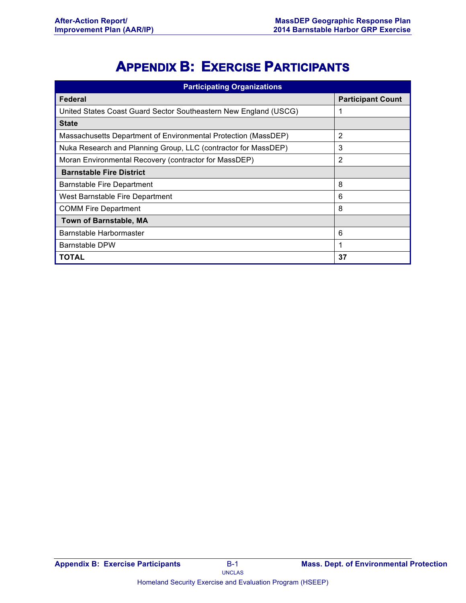# **APPENDIX B: EXERCISE PARTICIPANTS**

| <b>Participating Organizations</b>                               |                          |  |  |  |
|------------------------------------------------------------------|--------------------------|--|--|--|
| Federal                                                          | <b>Participant Count</b> |  |  |  |
| United States Coast Guard Sector Southeastern New England (USCG) |                          |  |  |  |
| <b>State</b>                                                     |                          |  |  |  |
| Massachusetts Department of Environmental Protection (MassDEP)   | 2                        |  |  |  |
| Nuka Research and Planning Group, LLC (contractor for MassDEP)   | 3                        |  |  |  |
| Moran Environmental Recovery (contractor for MassDEP)            | 2                        |  |  |  |
| <b>Barnstable Fire District</b>                                  |                          |  |  |  |
| Barnstable Fire Department                                       | 8                        |  |  |  |
| West Barnstable Fire Department                                  | 6                        |  |  |  |
| <b>COMM Fire Department</b>                                      | 8                        |  |  |  |
| <b>Town of Barnstable, MA</b>                                    |                          |  |  |  |
| Barnstable Harbormaster                                          | 6                        |  |  |  |
| <b>Barnstable DPW</b>                                            |                          |  |  |  |
| TOTAL                                                            | 37                       |  |  |  |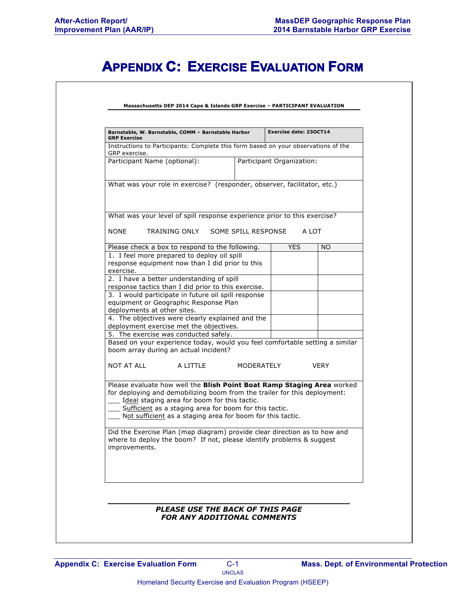# **APPENDIX C: EXERCISE EVALUATION FORM**

| Barnstable, W. Barnstable, COMM - Barnstable Harbor<br><b>GRP Exercise</b>                                                                                                                                                                                                                                                  |                                                     | Exercise date: 230CT14    |             |  |  |
|-----------------------------------------------------------------------------------------------------------------------------------------------------------------------------------------------------------------------------------------------------------------------------------------------------------------------------|-----------------------------------------------------|---------------------------|-------------|--|--|
| Instructions to Participants: Complete this form based on your observations of the<br>GRP exercise.                                                                                                                                                                                                                         |                                                     |                           |             |  |  |
| Participant Name (optional):                                                                                                                                                                                                                                                                                                |                                                     | Participant Organization: |             |  |  |
| What was your role in exercise? (responder, observer, facilitator, etc.)                                                                                                                                                                                                                                                    |                                                     |                           |             |  |  |
| What was your level of spill response experience prior to this exercise?                                                                                                                                                                                                                                                    |                                                     |                           |             |  |  |
| <b>NONE</b><br>TRAINING ONLY                                                                                                                                                                                                                                                                                                | SOME SPILL RESPONSE                                 |                           | A LOT       |  |  |
| Please check a box to respond to the following.                                                                                                                                                                                                                                                                             |                                                     | <b>YES</b>                | NO.         |  |  |
| 1. I feel more prepared to deploy oil spill                                                                                                                                                                                                                                                                                 |                                                     |                           |             |  |  |
| response equipment now than I did prior to this<br>exercise.                                                                                                                                                                                                                                                                |                                                     |                           |             |  |  |
| 2. I have a better understanding of spill                                                                                                                                                                                                                                                                                   |                                                     |                           |             |  |  |
| response tactics than I did prior to this exercise.                                                                                                                                                                                                                                                                         |                                                     |                           |             |  |  |
|                                                                                                                                                                                                                                                                                                                             | 3. I would participate in future oil spill response |                           |             |  |  |
| equipment or Geographic Response Plan                                                                                                                                                                                                                                                                                       |                                                     |                           |             |  |  |
| deployments at other sites.<br>4. The objectives were clearly explained and the                                                                                                                                                                                                                                             |                                                     |                           |             |  |  |
| deployment exercise met the objectives.                                                                                                                                                                                                                                                                                     |                                                     |                           |             |  |  |
| 5. The exercise was conducted safely.                                                                                                                                                                                                                                                                                       |                                                     |                           |             |  |  |
| Based on your experience today, would you feel comfortable setting a similar<br>boom array during an actual incident?                                                                                                                                                                                                       |                                                     |                           |             |  |  |
| NOT AT ALL<br>A LITTLE                                                                                                                                                                                                                                                                                                      |                                                     | MODERATELY                | <b>VERY</b> |  |  |
| Please evaluate how well the Blish Point Boat Ramp Staging Area worked<br>for deploying and demobilizing boom from the trailer for this deployment:<br>Ideal staging area for boom for this tactic.<br>Sufficient as a staging area for boom for this tactic.<br>Not sufficient as a staging area for boom for this tactic. |                                                     |                           |             |  |  |
| Did the Exercise Plan (map diagram) provide clear direction as to how and<br>where to deploy the boom? If not, please identify problems & suggest<br>improvements.                                                                                                                                                          |                                                     |                           |             |  |  |